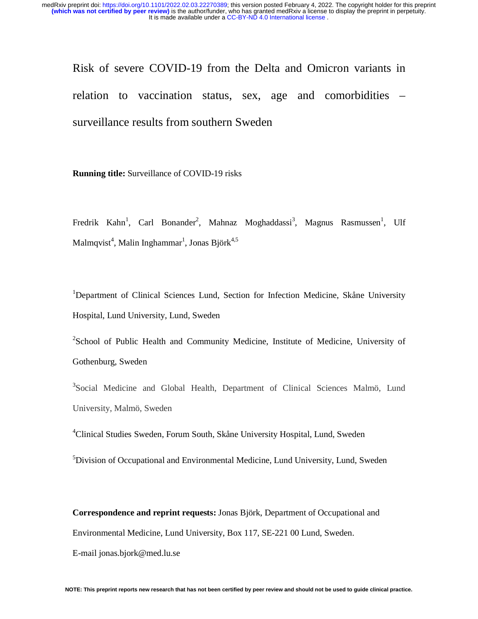Risk of severe COVID-19 from the Delta and Omicron variants in relation to vaccination status, sex, age and comorbidities – surveillance results from southern Sweden

**Running title:** Surveillance of COVID-19 risks

Fredrik Kahn<sup>1</sup>, Carl Bonander<sup>2</sup>, Mahnaz Moghaddassi<sup>3</sup>, Magnus Rasmussen<sup>1</sup>, Ulf Malmqvist $^4$ , Malin Inghammar $^1$ , Jonas Björk $^{4,5}$ 

<sup>1</sup>Department of Clinical Sciences Lund, Section for Infection Medicine, Skåne University Hospital, Lund University, Lund, Sweden

<sup>2</sup>School of Public Health and Community Medicine, Institute of Medicine, University of Gothenburg, Sweden

<sup>3</sup>Social Medicine and Global Health, Department of Clinical Sciences Malmö, Lund University, Malmö, Sweden

4 Clinical Studies Sweden, Forum South, Skåne University Hospital, Lund, Sweden

<sup>5</sup>Division of Occupational and Environmental Medicine, Lund University, Lund, Sweden

**Correspondence and reprint requests:** Jonas Björk, Department of Occupational and Environmental Medicine, Lund University, Box 117, SE-221 00 Lund, Sweden.

E-mail jonas.bjork@med.lu.se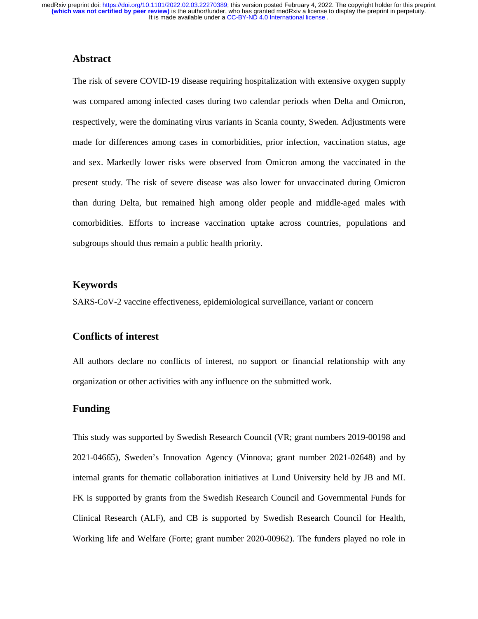# **Abstract**

The risk of severe COVID-19 disease requiring hospitalization with extensive oxygen supply was compared among infected cases during two calendar periods when Delta and Omicron, respectively, were the dominating virus variants in Scania county, Sweden. Adjustments were made for differences among cases in comorbidities, prior infection, vaccination status, age and sex. Markedly lower risks were observed from Omicron among the vaccinated in the present study. The risk of severe disease was also lower for unvaccinated during Omicron than during Delta, but remained high among older people and middle-aged males with comorbidities. Efforts to increase vaccination uptake across countries, populations and subgroups should thus remain a public health priority.

# **Keywords**

SARS-CoV-2 vaccine effectiveness, epidemiological surveillance, variant or concern

# **Conflicts of interest**

All authors declare no conflicts of interest, no support or financial relationship with any organization or other activities with any influence on the submitted work.

## **Funding**

This study was supported by Swedish Research Council (VR; grant numbers 2019-00198 and 2021-04665), Sweden's Innovation Agency (Vinnova; grant number 2021-02648) and by internal grants for thematic collaboration initiatives at Lund University held by JB and MI. FK is supported by grants from the Swedish Research Council and Governmental Funds for Clinical Research (ALF), and CB is supported by Swedish Research Council for Health, Working life and Welfare (Forte; grant number 2020-00962). The funders played no role in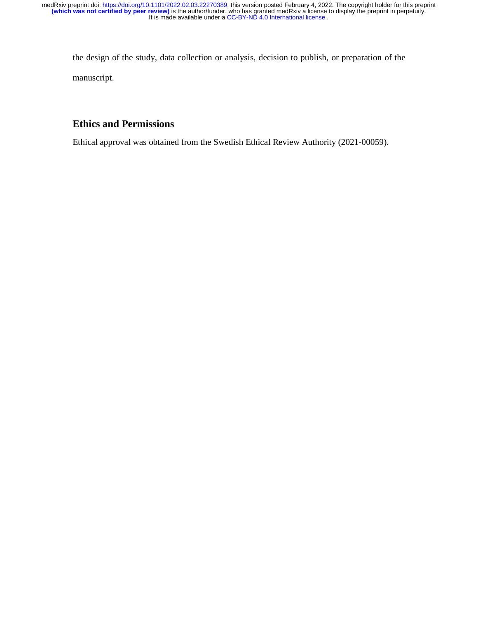the design of the study, data collection or analysis, decision to publish, or preparation of the manuscript.

# **Ethics and Permissions**

Ethical approval was obtained from the Swedish Ethical Review Authority (2021-00059).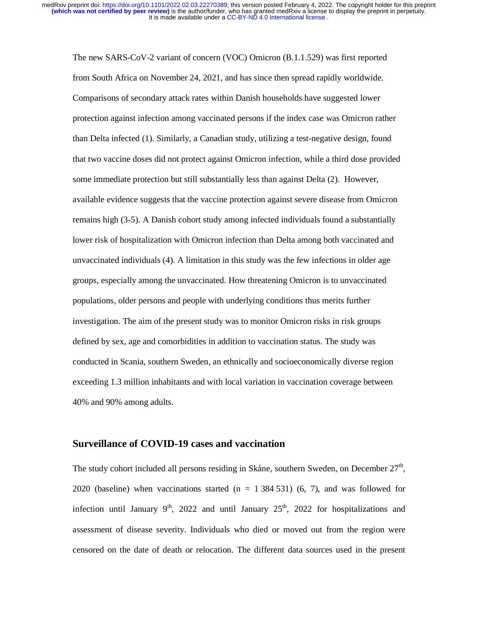The new SARS-CoV-2 variant of concern (VOC) Omicron (B.1.1.529) was first reported from South Africa on November 24, 2021, and has since then spread rapidly worldwide. Comparisons of secondary attack rates within Danish households have suggested lower protection against infection among vaccinated persons if the index case was Omicron rather than Delta infected (1). Similarly, a Canadian study, utilizing a test-negative design, found that two vaccine doses did not protect against Omicron infection, while a third dose provided some immediate protection but still substantially less than against Delta (2). However, available evidence suggests that the vaccine protection against severe disease from Omicron remains high (3-5). A Danish cohort study among infected individuals found a substantially lower risk of hospitalization with Omicron infection than Delta among both vaccinated and unvaccinated individuals (4). A limitation in this study was the few infections in older age groups, especially among the unvaccinated. How threatening Omicron is to unvaccinated populations, older persons and people with underlying conditions thus merits further investigation. The aim of the present study was to monitor Omicron risks in risk groups defined by sex, age and comorbidities in addition to vaccination status. The study was conducted in Scania, southern Sweden, an ethnically and socioeconomically diverse region exceeding 1.3 million inhabitants and with local variation in vaccination coverage between 40% and 90% among adults.

## **Surveillance of COVID-19 cases and vaccination**

The study cohort included all persons residing in Skåne, southern Sweden, on December 27<sup>th</sup>, 2020 (baseline) when vaccinations started  $(n = 1384531)$  (6, 7), and was followed for infection until January  $9<sup>th</sup>$ , 2022 and until January  $25<sup>th</sup>$ , 2022 for hospitalizations and assessment of disease severity. Individuals who died or moved out from the region were censored on the date of death or relocation. The different data sources used in the present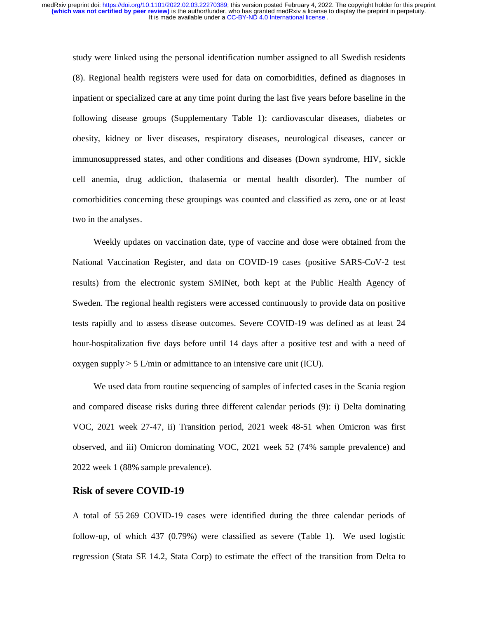study were linked using the personal identification number assigned to all Swedish residents (8). Regional health registers were used for data on comorbidities, defined as diagnoses in inpatient or specialized care at any time point during the last five years before baseline in the following disease groups (Supplementary Table 1): cardiovascular diseases, diabetes or obesity, kidney or liver diseases, respiratory diseases, neurological diseases, cancer or immunosuppressed states, and other conditions and diseases (Down syndrome, HIV, sickle cell anemia, drug addiction, thalasemia or mental health disorder). The number of comorbidities concerning these groupings was counted and classified as zero, one or at least two in the analyses.

Weekly updates on vaccination date, type of vaccine and dose were obtained from the National Vaccination Register, and data on COVID-19 cases (positive SARS-CoV-2 test results) from the electronic system SMINet, both kept at the Public Health Agency of Sweden. The regional health registers were accessed continuously to provide data on positive tests rapidly and to assess disease outcomes. Severe COVID-19 was defined as at least 24 hour-hospitalization five days before until 14 days after a positive test and with a need of oxygen supply  $\geq 5$  L/min or admittance to an intensive care unit (ICU).

We used data from routine sequencing of samples of infected cases in the Scania region and compared disease risks during three different calendar periods (9): i) Delta dominating VOC, 2021 week 27-47, ii) Transition period, 2021 week 48-51 when Omicron was first observed, and iii) Omicron dominating VOC, 2021 week 52 (74% sample prevalence) and 2022 week 1 (88% sample prevalence).

#### **Risk of severe COVID-19**

A total of 55 269 COVID-19 cases were identified during the three calendar periods of follow-up, of which 437 (0.79%) were classified as severe (Table 1). We used logistic regression (Stata SE 14.2, Stata Corp) to estimate the effect of the transition from Delta to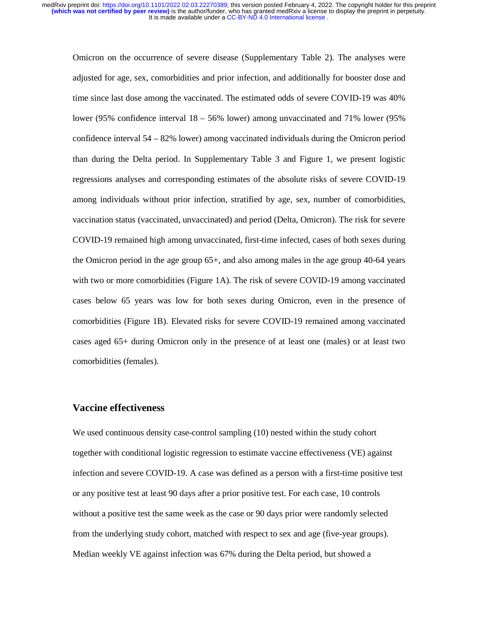Omicron on the occurrence of severe disease (Supplementary Table 2). The analyses were adjusted for age, sex, comorbidities and prior infection, and additionally for booster dose and time since last dose among the vaccinated. The estimated odds of severe COVID-19 was 40% lower (95% confidence interval 18 – 56% lower) among unvaccinated and 71% lower (95% confidence interval 54 – 82% lower) among vaccinated individuals during the Omicron period than during the Delta period. In Supplementary Table 3 and Figure 1, we present logistic regressions analyses and corresponding estimates of the absolute risks of severe COVID-19 among individuals without prior infection, stratified by age, sex, number of comorbidities, vaccination status (vaccinated, unvaccinated) and period (Delta, Omicron). The risk for severe COVID-19 remained high among unvaccinated, first-time infected, cases of both sexes during the Omicron period in the age group 65+, and also among males in the age group 40-64 years with two or more comorbidities (Figure 1A). The risk of severe COVID-19 among vaccinated cases below 65 years was low for both sexes during Omicron, even in the presence of comorbidities (Figure 1B). Elevated risks for severe COVID-19 remained among vaccinated cases aged 65+ during Omicron only in the presence of at least one (males) or at least two comorbidities (females).

#### **Vaccine effectiveness**

We used continuous density case-control sampling (10) nested within the study cohort together with conditional logistic regression to estimate vaccine effectiveness (VE) against infection and severe COVID-19. A case was defined as a person with a first-time positive test or any positive test at least 90 days after a prior positive test. For each case, 10 controls without a positive test the same week as the case or 90 days prior were randomly selected from the underlying study cohort, matched with respect to sex and age (five-year groups). Median weekly VE against infection was 67% during the Delta period, but showed a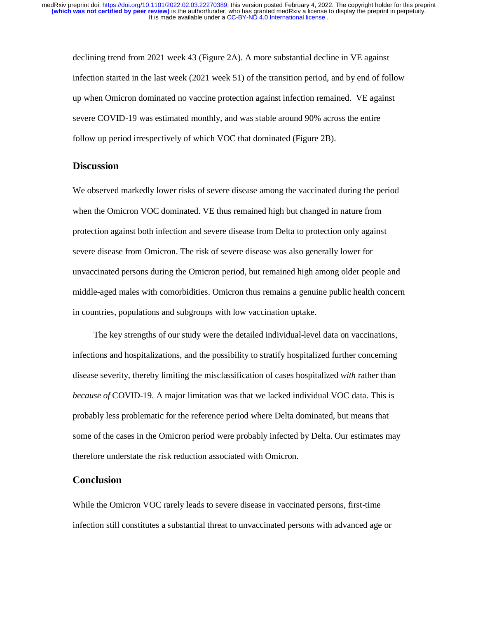declining trend from 2021 week 43 (Figure 2A). A more substantial decline in VE against infection started in the last week (2021 week 51) of the transition period, and by end of follow up when Omicron dominated no vaccine protection against infection remained. VE against severe COVID-19 was estimated monthly, and was stable around 90% across the entire follow up period irrespectively of which VOC that dominated (Figure 2B).

## **Discussion**

We observed markedly lower risks of severe disease among the vaccinated during the period when the Omicron VOC dominated. VE thus remained high but changed in nature from protection against both infection and severe disease from Delta to protection only against severe disease from Omicron. The risk of severe disease was also generally lower for unvaccinated persons during the Omicron period, but remained high among older people and middle-aged males with comorbidities. Omicron thus remains a genuine public health concern in countries, populations and subgroups with low vaccination uptake.

The key strengths of our study were the detailed individual-level data on vaccinations, infections and hospitalizations, and the possibility to stratify hospitalized further concerning disease severity, thereby limiting the misclassification of cases hospitalized *with* rather than *because of* COVID-19. A major limitation was that we lacked individual VOC data. This is probably less problematic for the reference period where Delta dominated, but means that some of the cases in the Omicron period were probably infected by Delta. Our estimates may therefore understate the risk reduction associated with Omicron.

## **Conclusion**

While the Omicron VOC rarely leads to severe disease in vaccinated persons, first-time infection still constitutes a substantial threat to unvaccinated persons with advanced age or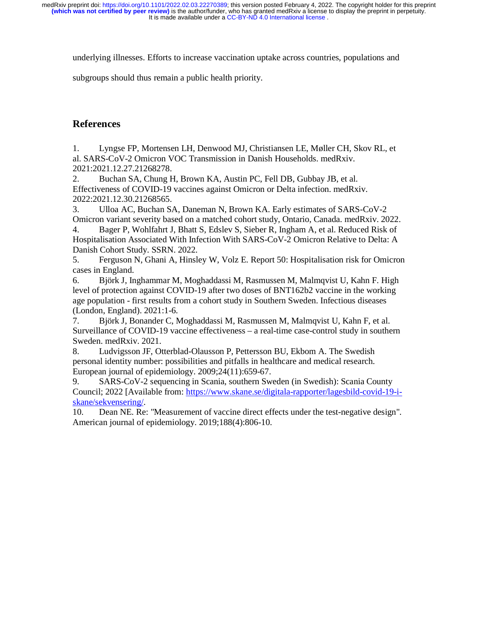underlying illnesses. Efforts to increase vaccination uptake across countries, populations and

subgroups should thus remain a public health priority.

# **References**

1. Lyngse FP, Mortensen LH, Denwood MJ, Christiansen LE, Møller CH, Skov RL, et al. SARS-CoV-2 Omicron VOC Transmission in Danish Households. medRxiv. 2021:2021.12.27.21268278.

2. Buchan SA, Chung H, Brown KA, Austin PC, Fell DB, Gubbay JB, et al. Effectiveness of COVID-19 vaccines against Omicron or Delta infection. medRxiv. 2022:2021.12.30.21268565.

3. Ulloa AC, Buchan SA, Daneman N, Brown KA. Early estimates of SARS-CoV-2 Omicron variant severity based on a matched cohort study, Ontario, Canada. medRxiv. 2022.

4. Bager P, Wohlfahrt J, Bhatt S, Edslev S, Sieber R, Ingham A, et al. Reduced Risk of Hospitalisation Associated With Infection With SARS-CoV-2 Omicron Relative to Delta: A Danish Cohort Study. SSRN. 2022.

5. Ferguson N, Ghani A, Hinsley W, Volz E. Report 50: Hospitalisation risk for Omicron cases in England.

6. Björk J, Inghammar M, Moghaddassi M, Rasmussen M, Malmqvist U, Kahn F. High level of protection against COVID-19 after two doses of BNT162b2 vaccine in the working age population - first results from a cohort study in Southern Sweden. Infectious diseases (London, England). 2021:1-6.

7. Björk J, Bonander C, Moghaddassi M, Rasmussen M, Malmqvist U, Kahn F, et al. Surveillance of COVID-19 vaccine effectiveness – a real-time case-control study in southern Sweden. medRxiv. 2021.

8. Ludvigsson JF, Otterblad-Olausson P, Pettersson BU, Ekbom A. The Swedish personal identity number: possibilities and pitfalls in healthcare and medical research. European journal of epidemiology. 2009;24(11):659-67.

9. SARS-CoV-2 sequencing in Scania, southern Sweden (in Swedish): Scania County Council; 2022 [Available from: https://www.skane.se/digitala-rapporter/lagesbild-covid-19-iskane/sekvensering/.

10. Dean NE. Re: "Measurement of vaccine direct effects under the test-negative design". American journal of epidemiology. 2019;188(4):806-10.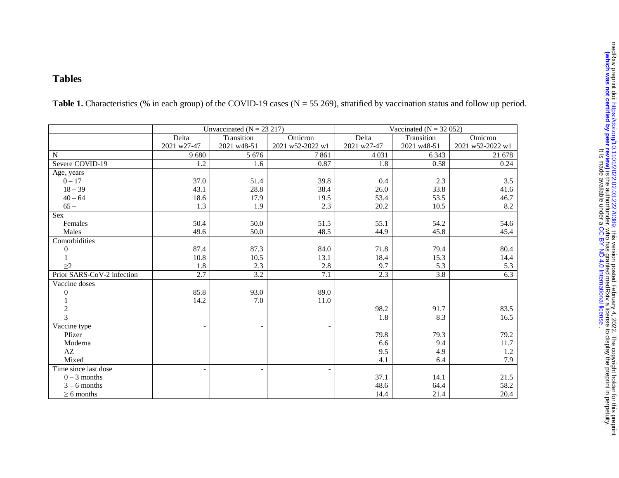## **Tables**

|                            |             | Unvaccinated ( $N = 23 217$ ) | Vaccinated ( $N = 32052$ ) |             |             |                  |  |
|----------------------------|-------------|-------------------------------|----------------------------|-------------|-------------|------------------|--|
|                            | Delta       | Transition                    | Omicron                    | Delta       | Transition  | Omicron          |  |
|                            | 2021 w27-47 | 2021 w48-51                   | 2021 w52-2022 w1           | 2021 w27-47 | 2021 w48-51 | 2021 w52-2022 w1 |  |
| N                          | 9680        | 5 6 7 6                       | 7861                       | 4 0 3 1     | 6 3 4 3     | 21 678           |  |
| Severe COVID-19            | 1.2         | 1.6                           | 0.87                       | 1.8         | 0.58        | 0.24             |  |
| Age, years                 |             |                               |                            |             |             |                  |  |
| $0 - 17$                   | 37.0        | 51.4                          | 39.8                       | 0.4         | 2.3         | 3.5              |  |
| $18 - 39$                  | 43.1        | 28.8                          | 38.4                       | 26.0        | 33.8        | 41.6             |  |
| $40 - 64$                  | 18.6        | 17.9                          | 19.5                       | 53.4        | 53.5        | 46.7             |  |
| $65 -$                     | 1.3         | 1.9                           | 2.3                        | 20.2        | 10.5        | 8.2              |  |
| <b>Sex</b>                 |             |                               |                            |             |             |                  |  |
| Females                    | 50.4        | 50.0                          | 51.5                       | 55.1        | 54.2        | 54.6             |  |
| Males                      | 49.6        | 50.0                          | 48.5                       | 44.9        | 45.8        | 45.4             |  |
| Comorbidities              |             |                               |                            |             |             |                  |  |
| $\boldsymbol{0}$           | 87.4        | 87.3                          | 84.0                       | 71.8        | 79.4        | 80.4             |  |
|                            | 10.8        | 10.5                          | 13.1                       | 18.4        | 15.3        | 14.4             |  |
| $\geq$ 2                   | 1.8         | 2.3                           | 2.8                        | 9.7         | 5.3         | 5.3              |  |
| Prior SARS-CoV-2 infection | 2.7         | 3.2                           | 7.1                        | 2.3         | 3.8         | 6.3              |  |
| Vaccine doses              |             |                               |                            |             |             |                  |  |
| $\boldsymbol{0}$           | 85.8        | 93.0                          | 89.0                       |             |             |                  |  |
|                            | 14.2        | 7.0                           | 11.0                       |             |             |                  |  |
| $\frac{2}{3}$              |             |                               |                            | 98.2        | 91.7        | 83.5             |  |
|                            |             |                               |                            | 1.8         | 8.3         | 16.5             |  |
| Vaccine type               |             |                               |                            |             |             |                  |  |
| Pfizer                     |             |                               |                            | 79.8        | 79.3        | 79.2             |  |
| Moderna                    |             |                               |                            | 6.6         | 9.4         | 11.7             |  |
| AZ                         |             |                               |                            | 9.5         | 4.9         | 1.2              |  |
| Mixed                      |             |                               |                            | 4.1         | 6.4         | 7.9              |  |
| Time since last dose       |             | $\overline{\phantom{a}}$      |                            |             |             |                  |  |
| $0 - 3$ months             |             |                               |                            | 37.1        | 14.1        | 21.5             |  |
| $3 - 6$ months             |             |                               |                            | 48.6        | 64.4        | 58.2             |  |
| $\geq 6$ months            |             |                               |                            | 14.4        | 21.4        | 20.4             |  |

Table 1. Characteristics (% in each group) of the COVID-19 cases (N = 55 269), stratified by vaccination status and follow up period.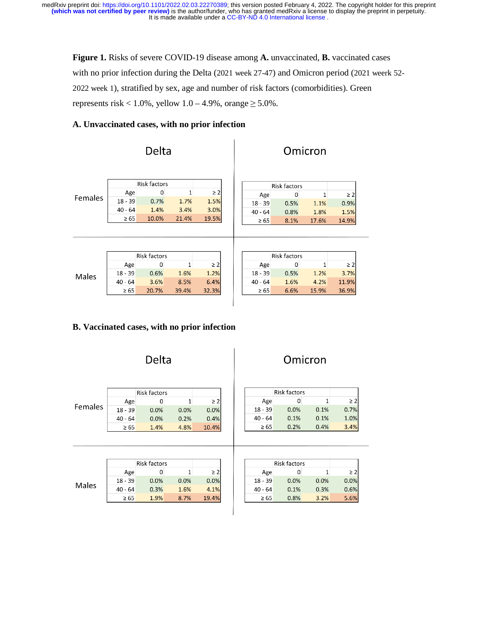**Figure 1.** Risks of severe COVID-19 disease among **A.** unvaccinated, **B.** vaccinated cases with no prior infection during the Delta (2021 week 27-47) and Omicron period (2021 weerk 52- 2022 week 1), stratified by sex, age and number of risk factors (comorbidities). Green represents risk <  $1.0\%$ , yellow  $1.0 - 4.9\%$ , orange  $\geq 5.0\%$ .

## **A. Unvaccinated cases, with no prior infection**

| Delta        |              |              |       |          |  | Omicron |           |           |                     |      |              |          |       |
|--------------|--------------|--------------|-------|----------|--|---------|-----------|-----------|---------------------|------|--------------|----------|-------|
|              |              | Risk factors |       |          |  |         |           |           | <b>Risk factors</b> |      |              |          |       |
| Females      | Age          | 0            | 1     | $\geq$ 2 |  |         | Age       |           | 0                   |      | 1            | $\geq 2$ |       |
|              | $18 - 39$    | 0.7%         | 1.7%  | 1.5%     |  |         | $18 - 39$ |           | 0.5%                |      | 1.1%         | 0.9%     |       |
|              | $40 - 64$    | 1.4%         | 3.4%  | 3.0%     |  |         |           | $40 - 64$ |                     | 0.8% |              | 1.8%     | 1.5%  |
|              | $\geq 65$    | 10.0%        | 21.4% | 19.5%    |  |         |           | $\geq 65$ |                     | 8.1% | 17.6%        |          | 14.9% |
|              |              |              |       |          |  |         |           |           |                     |      |              |          |       |
|              |              |              |       |          |  |         |           |           |                     |      |              |          |       |
|              | Risk factors |              |       |          |  |         |           |           | Risk factors        |      |              |          |       |
| <b>Males</b> | Age          | 0            | 1     | $\geq$ 2 |  |         | Age       |           | 0                   |      | $\mathbf{1}$ | $\geq$ 2 |       |
|              | $18 - 39$    | 0.6%         | 1.6%  | 1.2%     |  |         | $18 - 39$ |           | 0.5%                |      | 1.2%         | 3.7%     |       |
|              | $40 - 64$    | 3.6%         | 8.5%  | 6.4%     |  |         |           | $40 - 64$ |                     | 1.6% |              | 4.2%     | 11.9% |
|              | $\geq 65$    | 20.7%        | 39.4% | 32.3%    |  |         |           | $\geq 65$ |                     | 6.6% | 15.9%        |          | 36.9% |
|              |              |              |       |          |  |         |           |           |                     |      |              |          |       |

# **B. Vaccinated cases, with no prior infection**

|              |              | Delta               |      |          |  |           |           |                     | Omicron  |          |
|--------------|--------------|---------------------|------|----------|--|-----------|-----------|---------------------|----------|----------|
|              |              | <b>Risk factors</b> |      |          |  |           |           | <b>Risk factors</b> |          |          |
| Females      | Age          | 0                   | 1    | $\geq$ 2 |  | Age       | 0         | 1                   | $\geq$ 2 |          |
|              | $18 - 39$    | 0.0%                | 0.0% | 0.0%     |  |           | $18 - 39$ | 0.0%                | 0.1%     | 0.7%     |
|              | $40 - 64$    | 0.0%                | 0.2% | 0.4%     |  | $40 - 64$ | 0.1%      | 0.1%                | 1.0%     |          |
|              | $\geq 65$    | 1.4%                | 4.8% | 10.4%    |  |           | $\geq 65$ | 0.2%                | 0.4%     | 3.4%     |
|              |              |                     |      |          |  |           |           |                     |          |          |
|              | Risk factors |                     |      |          |  |           |           | <b>Risk factors</b> |          |          |
| <b>Males</b> | Age          | 0                   | 1    | $\geq$ 2 |  |           | Age       | 0                   | 1        | $\geq$ 2 |
|              | $18 - 39$    | 0.0%                | 0.0% | 0.0%     |  |           | $18 - 39$ | 0.0%                | 0.0%     | 0.0%     |
|              | $40 - 64$    | 0.3%                | 1.6% | 4.1%     |  |           | $40 - 64$ | 0.1%                | 0.3%     | 0.6%     |
|              | $\geq 65$    | 1.9%                | 8.7% | 19.4%    |  |           | $\geq 65$ | 0.8%                | 3.2%     | 5.6%     |
|              |              |                     |      |          |  |           |           |                     |          |          |